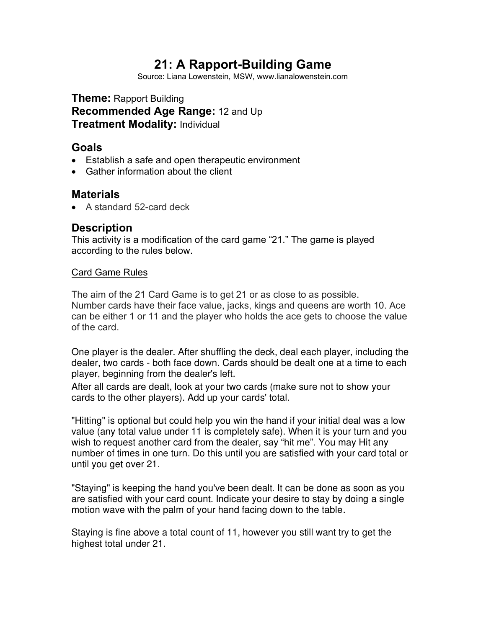# **21: A Rapport-Building Game**

Source: Liana Lowenstein, MSW, www.lianalowenstein.com

**Theme:** Rapport Building **Recommended Age Range:** 12 and Up **Treatment Modality:** Individual

#### **Goals**

- Establish a safe and open therapeutic environment
- Gather information about the client

#### **Materials**

• A standard 52-card deck

## **Description**

This activity is a modification of the card game "21." The game is played according to the rules below.

#### Card Game Rules

The aim of the 21 Card Game is to get 21 or as close to as possible. Number cards have their face value, jacks, kings and queens are worth 10. Ace can be either 1 or 11 and the player who holds the ace gets to choose the value of the card.

One player is the dealer. After shuffling the deck, deal each player, including the dealer, two cards - both face down. Cards should be dealt one at a time to each player, beginning from the dealer's left.

After all cards are dealt, look at your two cards (make sure not to show your cards to the other players). Add up your cards' total.

"Hitting" is optional but could help you win the hand if your initial deal was a low value (any total value under 11 is completely safe). When it is your turn and you wish to request another card from the dealer, say "hit me". You may Hit any number of times in one turn. Do this until you are satisfied with your card total or until you get over 21.

"Staying" is keeping the hand you've been dealt. It can be done as soon as you are satisfied with your card count. Indicate your desire to stay by doing a single motion wave with the palm of your hand facing down to the table.

Staying is fine above a total count of 11, however you still want try to get the highest total under 21.